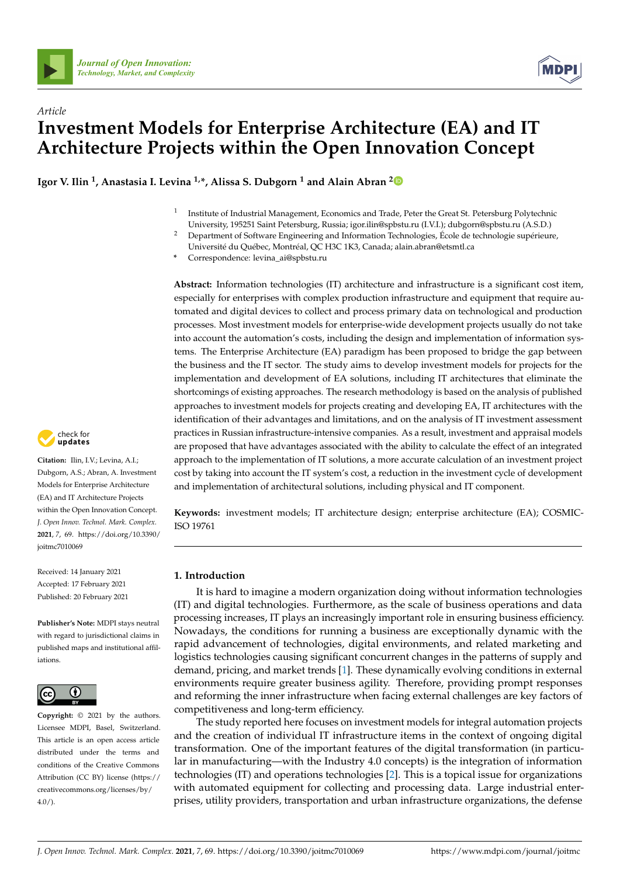



# *Article* **Investment Models for Enterprise Architecture (EA) and IT Architecture Projects within the Open Innovation Concept**

**Igor V. Ilin <sup>1</sup> , Anastasia I. Levina 1,\*, Alissa S. Dubgorn <sup>1</sup> and Alain Abran [2](https://orcid.org/0000-0003-2670-9061)**

- 1 Institute of Industrial Management, Economics and Trade, Peter the Great St. Petersburg Polytechnic University, 195251 Saint Petersburg, Russia; igor.ilin@spbstu.ru (I.V.I.); dubgorn@spbstu.ru (A.S.D.)
- <sup>2</sup> Department of Software Engineering and Information Technologies, École de technologie supérieure, Université du Québec, Montréal, QC H3C 1K3, Canada; alain.abran@etsmtl.ca

**\*** Correspondence: levina\_ai@spbstu.ru

**Abstract:** Information technologies (IT) architecture and infrastructure is a significant cost item, especially for enterprises with complex production infrastructure and equipment that require automated and digital devices to collect and process primary data on technological and production processes. Most investment models for enterprise-wide development projects usually do not take into account the automation's costs, including the design and implementation of information systems. The Enterprise Architecture (EA) paradigm has been proposed to bridge the gap between the business and the IT sector. The study aims to develop investment models for projects for the implementation and development of EA solutions, including IT architectures that eliminate the shortcomings of existing approaches. The research methodology is based on the analysis of published approaches to investment models for projects creating and developing EA, IT architectures with the identification of their advantages and limitations, and on the analysis of IT investment assessment practices in Russian infrastructure-intensive companies. As a result, investment and appraisal models are proposed that have advantages associated with the ability to calculate the effect of an integrated approach to the implementation of IT solutions, a more accurate calculation of an investment project cost by taking into account the IT system's cost, a reduction in the investment cycle of development and implementation of architectural solutions, including physical and IT component.

**Keywords:** investment models; IT architecture design; enterprise architecture (EA); COSMIC-ISO 19761

### **1. Introduction**

It is hard to imagine a modern organization doing without information technologies (IT) and digital technologies. Furthermore, as the scale of business operations and data processing increases, IT plays an increasingly important role in ensuring business efficiency. Nowadays, the conditions for running a business are exceptionally dynamic with the rapid advancement of technologies, digital environments, and related marketing and logistics technologies causing significant concurrent changes in the patterns of supply and demand, pricing, and market trends [\[1\]](#page-15-0). These dynamically evolving conditions in external environments require greater business agility. Therefore, providing prompt responses and reforming the inner infrastructure when facing external challenges are key factors of competitiveness and long-term efficiency.

The study reported here focuses on investment models for integral automation projects and the creation of individual IT infrastructure items in the context of ongoing digital transformation. One of the important features of the digital transformation (in particular in manufacturing—with the Industry 4.0 concepts) is the integration of information technologies (IT) and operations technologies [\[2\]](#page-15-1). This is a topical issue for organizations with automated equipment for collecting and processing data. Large industrial enterprises, utility providers, transportation and urban infrastructure organizations, the defense



**Citation:** Ilin, I.V.; Levina, A.I.; Dubgorn, A.S.; Abran, A. Investment Models for Enterprise Architecture (EA) and IT Architecture Projects within the Open Innovation Concept. *J. Open Innov. Technol. Mark. Complex.* **2021**, *7*, 69. [https://doi.org/10.3390/](https://doi.org/10.3390/joitmc7010069) [joitmc7010069](https://doi.org/10.3390/joitmc7010069)

Received: 14 January 2021 Accepted: 17 February 2021 Published: 20 February 2021

**Publisher's Note:** MDPI stays neutral with regard to jurisdictional claims in published maps and institutional affiliations.



**Copyright:** © 2021 by the authors. Licensee MDPI, Basel, Switzerland. This article is an open access article distributed under the terms and conditions of the Creative Commons Attribution (CC BY) license (https:/[/](https://creativecommons.org/licenses/by/4.0/) [creativecommons.org/licenses/by/](https://creativecommons.org/licenses/by/4.0/)  $4.0/$ ).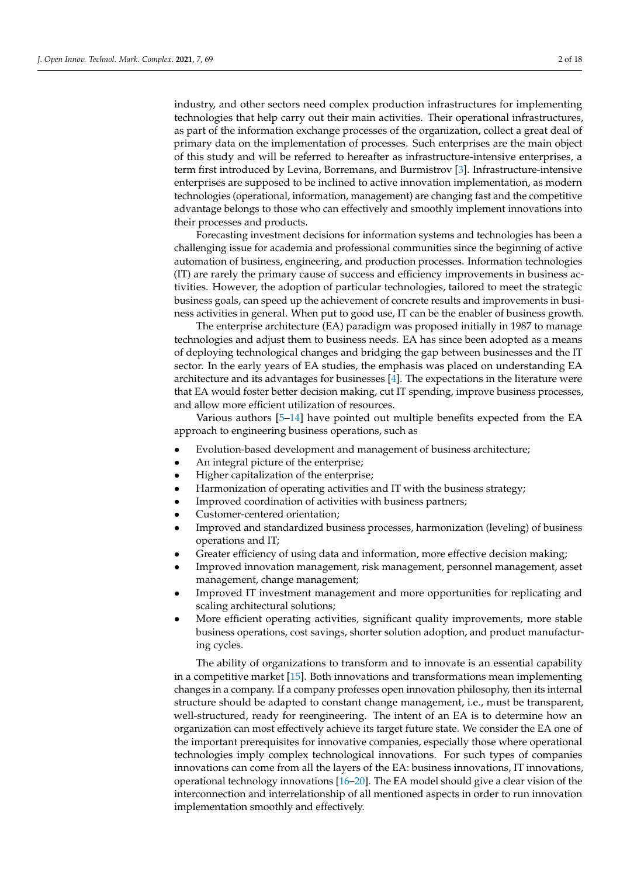industry, and other sectors need complex production infrastructures for implementing technologies that help carry out their main activities. Their operational infrastructures, as part of the information exchange processes of the organization, collect a great deal of primary data on the implementation of processes. Such enterprises are the main object of this study and will be referred to hereafter as infrastructure-intensive enterprises, a term first introduced by Levina, Borremans, and Burmistrov [\[3\]](#page-15-2). Infrastructure-intensive enterprises are supposed to be inclined to active innovation implementation, as modern technologies (operational, information, management) are changing fast and the competitive advantage belongs to those who can effectively and smoothly implement innovations into their processes and products.

Forecasting investment decisions for information systems and technologies has been a challenging issue for academia and professional communities since the beginning of active automation of business, engineering, and production processes. Information technologies (IT) are rarely the primary cause of success and efficiency improvements in business activities. However, the adoption of particular technologies, tailored to meet the strategic business goals, can speed up the achievement of concrete results and improvements in business activities in general. When put to good use, IT can be the enabler of business growth.

The enterprise architecture (EA) paradigm was proposed initially in 1987 to manage technologies and adjust them to business needs. EA has since been adopted as a means of deploying technological changes and bridging the gap between businesses and the IT sector. In the early years of EA studies, the emphasis was placed on understanding EA architecture and its advantages for businesses [\[4\]](#page-15-3). The expectations in the literature were that EA would foster better decision making, cut IT spending, improve business processes, and allow more efficient utilization of resources.

Various authors [\[5](#page-15-4)[–14\]](#page-16-0) have pointed out multiple benefits expected from the EA approach to engineering business operations, such as

- Evolution-based development and management of business architecture;
- An integral picture of the enterprise;
- Higher capitalization of the enterprise;
- Harmonization of operating activities and IT with the business strategy;
- Improved coordination of activities with business partners;
- Customer-centered orientation;
- Improved and standardized business processes, harmonization (leveling) of business operations and IT;
- Greater efficiency of using data and information, more effective decision making;
- Improved innovation management, risk management, personnel management, asset management, change management;
- Improved IT investment management and more opportunities for replicating and scaling architectural solutions;
- More efficient operating activities, significant quality improvements, more stable business operations, cost savings, shorter solution adoption, and product manufacturing cycles.

The ability of organizations to transform and to innovate is an essential capability in a competitive market [\[15\]](#page-16-1). Both innovations and transformations mean implementing changes in a company. If a company professes open innovation philosophy, then its internal structure should be adapted to constant change management, i.e., must be transparent, well-structured, ready for reengineering. The intent of an EA is to determine how an organization can most effectively achieve its target future state. We consider the EA one of the important prerequisites for innovative companies, especially those where operational technologies imply complex technological innovations. For such types of companies innovations can come from all the layers of the EA: business innovations, IT innovations, operational technology innovations [\[16–](#page-16-2)[20\]](#page-16-3). The EA model should give a clear vision of the interconnection and interrelationship of all mentioned aspects in order to run innovation implementation smoothly and effectively.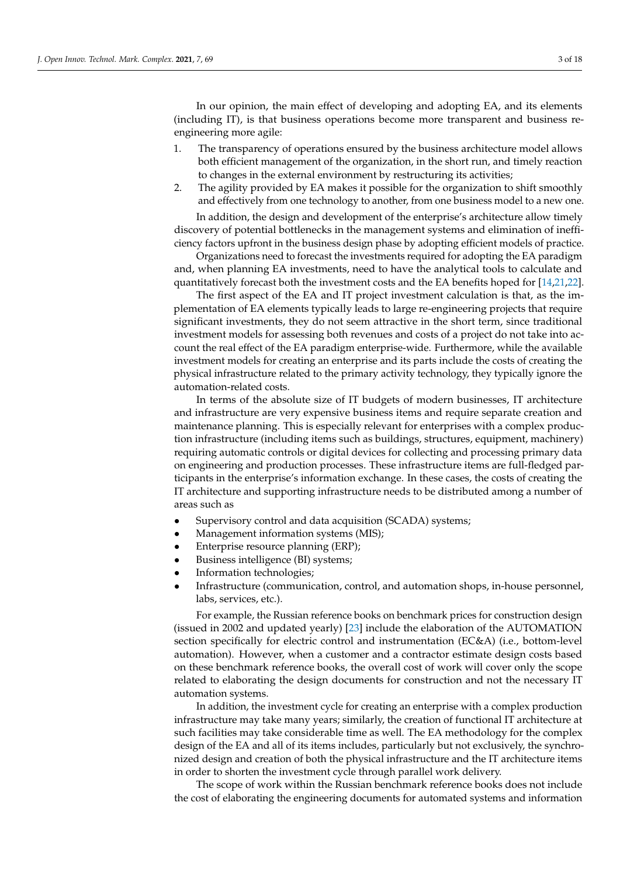In our opinion, the main effect of developing and adopting EA, and its elements (including IT), is that business operations become more transparent and business reengineering more agile:

- 1. The transparency of operations ensured by the business architecture model allows both efficient management of the organization, in the short run, and timely reaction to changes in the external environment by restructuring its activities;
- 2. The agility provided by EA makes it possible for the organization to shift smoothly and effectively from one technology to another, from one business model to a new one.

In addition, the design and development of the enterprise's architecture allow timely discovery of potential bottlenecks in the management systems and elimination of inefficiency factors upfront in the business design phase by adopting efficient models of practice.

Organizations need to forecast the investments required for adopting the EA paradigm and, when planning EA investments, need to have the analytical tools to calculate and quantitatively forecast both the investment costs and the EA benefits hoped for [\[14,](#page-16-0)[21,](#page-16-4)[22\]](#page-16-5).

The first aspect of the EA and IT project investment calculation is that, as the implementation of EA elements typically leads to large re-engineering projects that require significant investments, they do not seem attractive in the short term, since traditional investment models for assessing both revenues and costs of a project do not take into account the real effect of the EA paradigm enterprise-wide. Furthermore, while the available investment models for creating an enterprise and its parts include the costs of creating the physical infrastructure related to the primary activity technology, they typically ignore the automation-related costs.

In terms of the absolute size of IT budgets of modern businesses, IT architecture and infrastructure are very expensive business items and require separate creation and maintenance planning. This is especially relevant for enterprises with a complex production infrastructure (including items such as buildings, structures, equipment, machinery) requiring automatic controls or digital devices for collecting and processing primary data on engineering and production processes. These infrastructure items are full-fledged participants in the enterprise's information exchange. In these cases, the costs of creating the IT architecture and supporting infrastructure needs to be distributed among a number of areas such as

- Supervisory control and data acquisition (SCADA) systems;
- Management information systems (MIS);
- Enterprise resource planning (ERP);
- Business intelligence (BI) systems;
- Information technologies;
- Infrastructure (communication, control, and automation shops, in-house personnel, labs, services, etc.).

For example, the Russian reference books on benchmark prices for construction design (issued in 2002 and updated yearly) [\[23\]](#page-16-6) include the elaboration of the AUTOMATION section specifically for electric control and instrumentation (EC&A) (i.e., bottom-level automation). However, when a customer and a contractor estimate design costs based on these benchmark reference books, the overall cost of work will cover only the scope related to elaborating the design documents for construction and not the necessary IT automation systems.

In addition, the investment cycle for creating an enterprise with a complex production infrastructure may take many years; similarly, the creation of functional IT architecture at such facilities may take considerable time as well. The EA methodology for the complex design of the EA and all of its items includes, particularly but not exclusively, the synchronized design and creation of both the physical infrastructure and the IT architecture items in order to shorten the investment cycle through parallel work delivery.

The scope of work within the Russian benchmark reference books does not include the cost of elaborating the engineering documents for automated systems and information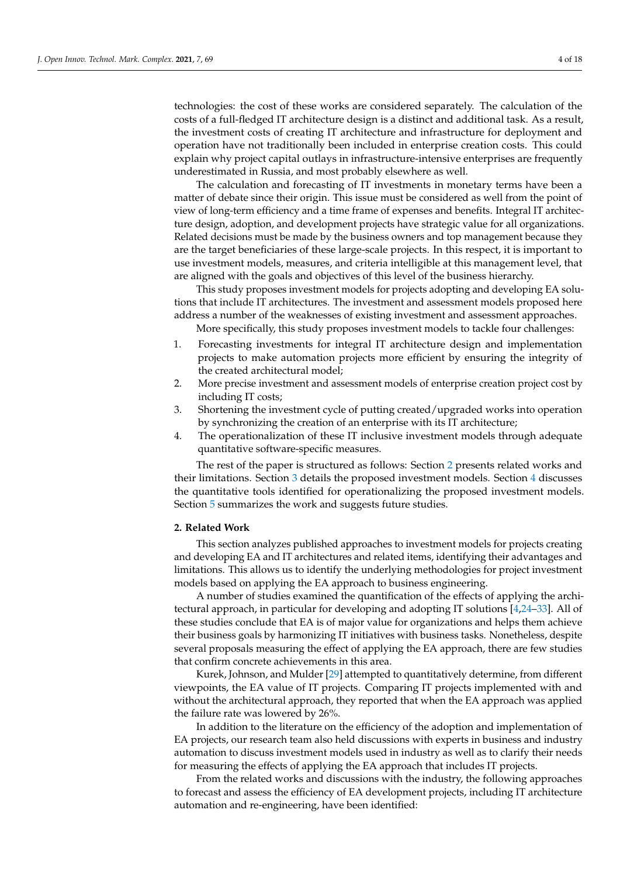technologies: the cost of these works are considered separately. The calculation of the costs of a full-fledged IT architecture design is a distinct and additional task. As a result, the investment costs of creating IT architecture and infrastructure for deployment and operation have not traditionally been included in enterprise creation costs. This could explain why project capital outlays in infrastructure-intensive enterprises are frequently underestimated in Russia, and most probably elsewhere as well.

The calculation and forecasting of IT investments in monetary terms have been a matter of debate since their origin. This issue must be considered as well from the point of view of long-term efficiency and a time frame of expenses and benefits. Integral IT architecture design, adoption, and development projects have strategic value for all organizations. Related decisions must be made by the business owners and top management because they are the target beneficiaries of these large-scale projects. In this respect, it is important to use investment models, measures, and criteria intelligible at this management level, that are aligned with the goals and objectives of this level of the business hierarchy.

This study proposes investment models for projects adopting and developing EA solutions that include IT architectures. The investment and assessment models proposed here address a number of the weaknesses of existing investment and assessment approaches.

More specifically, this study proposes investment models to tackle four challenges:

- 1. Forecasting investments for integral IT architecture design and implementation projects to make automation projects more efficient by ensuring the integrity of the created architectural model;
- 2. More precise investment and assessment models of enterprise creation project cost by including IT costs;
- 3. Shortening the investment cycle of putting created/upgraded works into operation by synchronizing the creation of an enterprise with its IT architecture;
- 4. The operationalization of these IT inclusive investment models through adequate quantitative software-specific measures.

The rest of the paper is structured as follows: Section [2](#page-3-0) presents related works and their limitations. Section [3](#page-4-0) details the proposed investment models. Section [4](#page-7-0) discusses the quantitative tools identified for operationalizing the proposed investment models. Section [5](#page-12-0) summarizes the work and suggests future studies.

### <span id="page-3-0"></span>**2. Related Work**

This section analyzes published approaches to investment models for projects creating and developing EA and IT architectures and related items, identifying their advantages and limitations. This allows us to identify the underlying methodologies for project investment models based on applying the EA approach to business engineering.

A number of studies examined the quantification of the effects of applying the architectural approach, in particular for developing and adopting IT solutions [\[4,](#page-15-3)[24–](#page-16-7)[33\]](#page-16-8). All of these studies conclude that EA is of major value for organizations and helps them achieve their business goals by harmonizing IT initiatives with business tasks. Nonetheless, despite several proposals measuring the effect of applying the EA approach, there are few studies that confirm concrete achievements in this area.

Kurek, Johnson, and Mulder [\[29\]](#page-16-9) attempted to quantitatively determine, from different viewpoints, the EA value of IT projects. Comparing IT projects implemented with and without the architectural approach, they reported that when the EA approach was applied the failure rate was lowered by 26%.

In addition to the literature on the efficiency of the adoption and implementation of EA projects, our research team also held discussions with experts in business and industry automation to discuss investment models used in industry as well as to clarify their needs for measuring the effects of applying the EA approach that includes IT projects.

From the related works and discussions with the industry, the following approaches to forecast and assess the efficiency of EA development projects, including IT architecture automation and re-engineering, have been identified: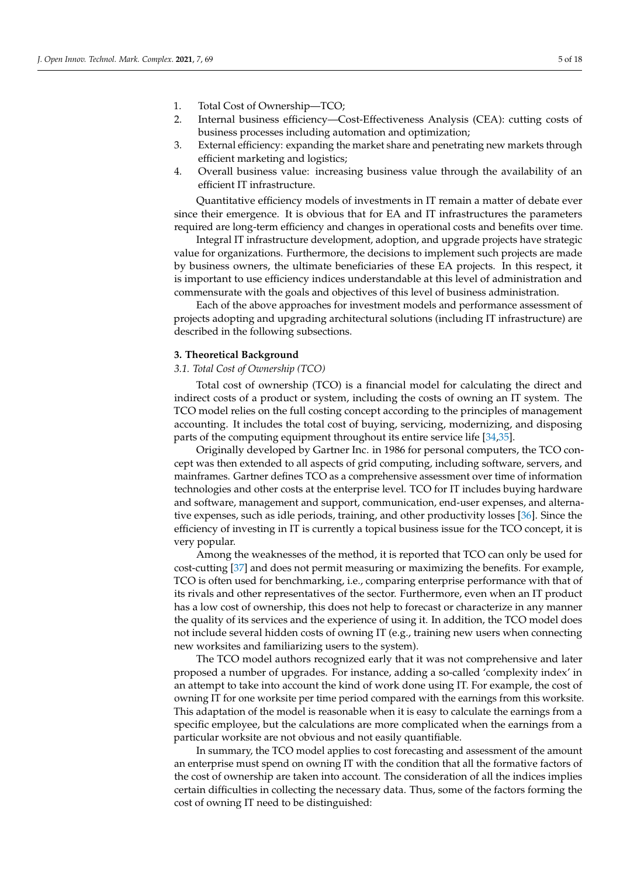- 1. Total Cost of Ownership—TCO;
- 2. Internal business efficiency—Cost-Effectiveness Analysis (CEA): cutting costs of business processes including automation and optimization;
- 3. External efficiency: expanding the market share and penetrating new markets through efficient marketing and logistics;
- 4. Overall business value: increasing business value through the availability of an efficient IT infrastructure.

Quantitative efficiency models of investments in IT remain a matter of debate ever since their emergence. It is obvious that for EA and IT infrastructures the parameters required are long-term efficiency and changes in operational costs and benefits over time.

Integral IT infrastructure development, adoption, and upgrade projects have strategic value for organizations. Furthermore, the decisions to implement such projects are made by business owners, the ultimate beneficiaries of these EA projects. In this respect, it is important to use efficiency indices understandable at this level of administration and commensurate with the goals and objectives of this level of business administration.

Each of the above approaches for investment models and performance assessment of projects adopting and upgrading architectural solutions (including IT infrastructure) are described in the following subsections.

#### <span id="page-4-0"></span>**3. Theoretical Background**

### *3.1. Total Cost of Ownership (TCO)*

Total cost of ownership (TCO) is a financial model for calculating the direct and indirect costs of a product or system, including the costs of owning an IT system. The TCO model relies on the full costing concept according to the principles of management accounting. It includes the total cost of buying, servicing, modernizing, and disposing parts of the computing equipment throughout its entire service life [\[34,](#page-16-10)[35\]](#page-16-11).

Originally developed by Gartner Inc. in 1986 for personal computers, the TCO concept was then extended to all aspects of grid computing, including software, servers, and mainframes. Gartner defines TCO as a comprehensive assessment over time of information technologies and other costs at the enterprise level. TCO for IT includes buying hardware and software, management and support, communication, end-user expenses, and alternative expenses, such as idle periods, training, and other productivity losses [\[36\]](#page-16-12). Since the efficiency of investing in IT is currently a topical business issue for the TCO concept, it is very popular.

Among the weaknesses of the method, it is reported that TCO can only be used for cost-cutting [\[37\]](#page-16-13) and does not permit measuring or maximizing the benefits. For example, TCO is often used for benchmarking, i.e., comparing enterprise performance with that of its rivals and other representatives of the sector. Furthermore, even when an IT product has a low cost of ownership, this does not help to forecast or characterize in any manner the quality of its services and the experience of using it. In addition, the TCO model does not include several hidden costs of owning IT (e.g., training new users when connecting new worksites and familiarizing users to the system).

The TCO model authors recognized early that it was not comprehensive and later proposed a number of upgrades. For instance, adding a so-called 'complexity index' in an attempt to take into account the kind of work done using IT. For example, the cost of owning IT for one worksite per time period compared with the earnings from this worksite. This adaptation of the model is reasonable when it is easy to calculate the earnings from a specific employee, but the calculations are more complicated when the earnings from a particular worksite are not obvious and not easily quantifiable.

In summary, the TCO model applies to cost forecasting and assessment of the amount an enterprise must spend on owning IT with the condition that all the formative factors of the cost of ownership are taken into account. The consideration of all the indices implies certain difficulties in collecting the necessary data. Thus, some of the factors forming the cost of owning IT need to be distinguished: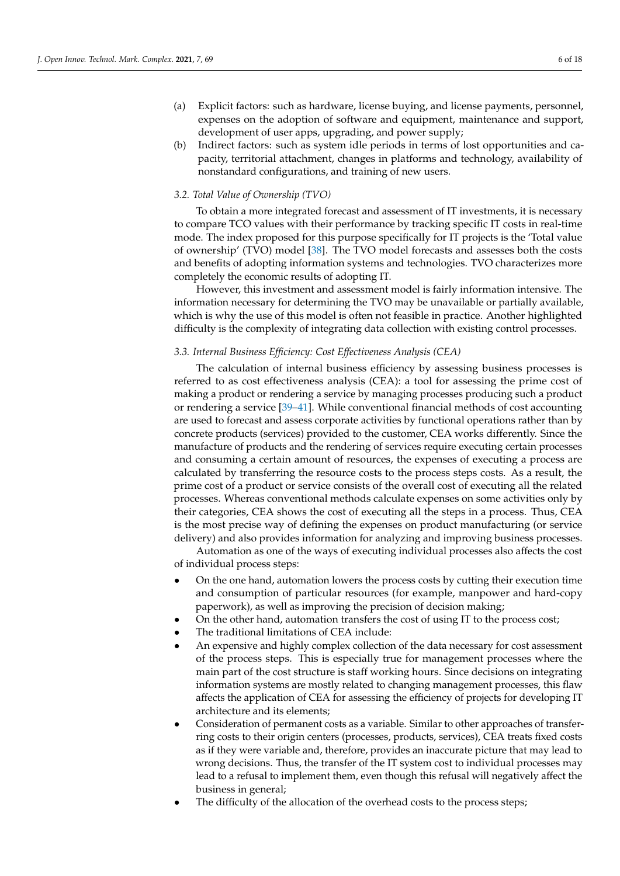- (a) Explicit factors: such as hardware, license buying, and license payments, personnel, expenses on the adoption of software and equipment, maintenance and support, development of user apps, upgrading, and power supply;
- (b) Indirect factors: such as system idle periods in terms of lost opportunities and capacity, territorial attachment, changes in platforms and technology, availability of nonstandard configurations, and training of new users.

### *3.2. Total Value of Ownership (TVO)*

To obtain a more integrated forecast and assessment of IT investments, it is necessary to compare TCO values with their performance by tracking specific IT costs in real-time mode. The index proposed for this purpose specifically for IT projects is the 'Total value of ownership' (TVO) model [\[38\]](#page-16-14). The TVO model forecasts and assesses both the costs and benefits of adopting information systems and technologies. TVO characterizes more completely the economic results of adopting IT.

However, this investment and assessment model is fairly information intensive. The information necessary for determining the TVO may be unavailable or partially available, which is why the use of this model is often not feasible in practice. Another highlighted difficulty is the complexity of integrating data collection with existing control processes.

### *3.3. Internal Business Efficiency: Cost Effectiveness Analysis (CEA)*

The calculation of internal business efficiency by assessing business processes is referred to as cost effectiveness analysis (CEA): a tool for assessing the prime cost of making a product or rendering a service by managing processes producing such a product or rendering a service [\[39–](#page-16-15)[41\]](#page-16-16). While conventional financial methods of cost accounting are used to forecast and assess corporate activities by functional operations rather than by concrete products (services) provided to the customer, CEA works differently. Since the manufacture of products and the rendering of services require executing certain processes and consuming a certain amount of resources, the expenses of executing a process are calculated by transferring the resource costs to the process steps costs. As a result, the prime cost of a product or service consists of the overall cost of executing all the related processes. Whereas conventional methods calculate expenses on some activities only by their categories, CEA shows the cost of executing all the steps in a process. Thus, CEA is the most precise way of defining the expenses on product manufacturing (or service delivery) and also provides information for analyzing and improving business processes.

Automation as one of the ways of executing individual processes also affects the cost of individual process steps:

- On the one hand, automation lowers the process costs by cutting their execution time and consumption of particular resources (for example, manpower and hard-copy paperwork), as well as improving the precision of decision making;
- On the other hand, automation transfers the cost of using IT to the process cost;
- The traditional limitations of CEA include:
- An expensive and highly complex collection of the data necessary for cost assessment of the process steps. This is especially true for management processes where the main part of the cost structure is staff working hours. Since decisions on integrating information systems are mostly related to changing management processes, this flaw affects the application of CEA for assessing the efficiency of projects for developing IT architecture and its elements;
- Consideration of permanent costs as a variable. Similar to other approaches of transferring costs to their origin centers (processes, products, services), CEA treats fixed costs as if they were variable and, therefore, provides an inaccurate picture that may lead to wrong decisions. Thus, the transfer of the IT system cost to individual processes may lead to a refusal to implement them, even though this refusal will negatively affect the business in general;
- The difficulty of the allocation of the overhead costs to the process steps;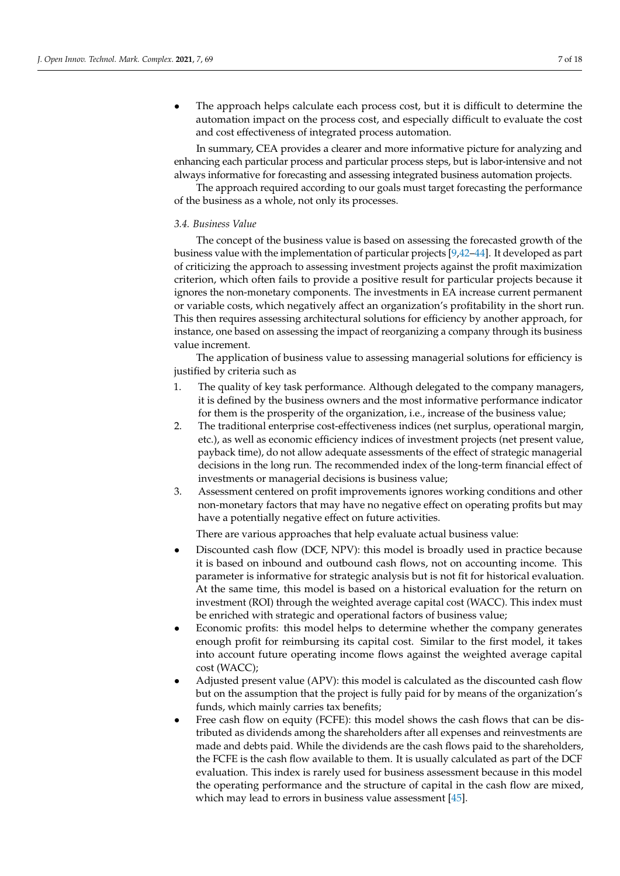The approach helps calculate each process cost, but it is difficult to determine the automation impact on the process cost, and especially difficult to evaluate the cost and cost effectiveness of integrated process automation.

In summary, CEA provides a clearer and more informative picture for analyzing and enhancing each particular process and particular process steps, but is labor-intensive and not always informative for forecasting and assessing integrated business automation projects.

The approach required according to our goals must target forecasting the performance of the business as a whole, not only its processes.

### *3.4. Business Value*

The concept of the business value is based on assessing the forecasted growth of the business value with the implementation of particular projects [\[9,](#page-15-5)[42](#page-16-17)[–44\]](#page-16-18). It developed as part of criticizing the approach to assessing investment projects against the profit maximization criterion, which often fails to provide a positive result for particular projects because it ignores the non-monetary components. The investments in EA increase current permanent or variable costs, which negatively affect an organization's profitability in the short run. This then requires assessing architectural solutions for efficiency by another approach, for instance, one based on assessing the impact of reorganizing a company through its business value increment.

The application of business value to assessing managerial solutions for efficiency is justified by criteria such as

- 1. The quality of key task performance. Although delegated to the company managers, it is defined by the business owners and the most informative performance indicator for them is the prosperity of the organization, i.e., increase of the business value;
- 2. The traditional enterprise cost-effectiveness indices (net surplus, operational margin, etc.), as well as economic efficiency indices of investment projects (net present value, payback time), do not allow adequate assessments of the effect of strategic managerial decisions in the long run. The recommended index of the long-term financial effect of investments or managerial decisions is business value;
- 3. Assessment centered on profit improvements ignores working conditions and other non-monetary factors that may have no negative effect on operating profits but may have a potentially negative effect on future activities.

There are various approaches that help evaluate actual business value:

- Discounted cash flow (DCF, NPV): this model is broadly used in practice because it is based on inbound and outbound cash flows, not on accounting income. This parameter is informative for strategic analysis but is not fit for historical evaluation. At the same time, this model is based on a historical evaluation for the return on investment (ROI) through the weighted average capital cost (WACC). This index must be enriched with strategic and operational factors of business value;
- Economic profits: this model helps to determine whether the company generates enough profit for reimbursing its capital cost. Similar to the first model, it takes into account future operating income flows against the weighted average capital cost (WACC);
- Adjusted present value (APV): this model is calculated as the discounted cash flow but on the assumption that the project is fully paid for by means of the organization's funds, which mainly carries tax benefits;
- Free cash flow on equity (FCFE): this model shows the cash flows that can be distributed as dividends among the shareholders after all expenses and reinvestments are made and debts paid. While the dividends are the cash flows paid to the shareholders, the FCFE is the cash flow available to them. It is usually calculated as part of the DCF evaluation. This index is rarely used for business assessment because in this model the operating performance and the structure of capital in the cash flow are mixed, which may lead to errors in business value assessment [\[45\]](#page-16-19).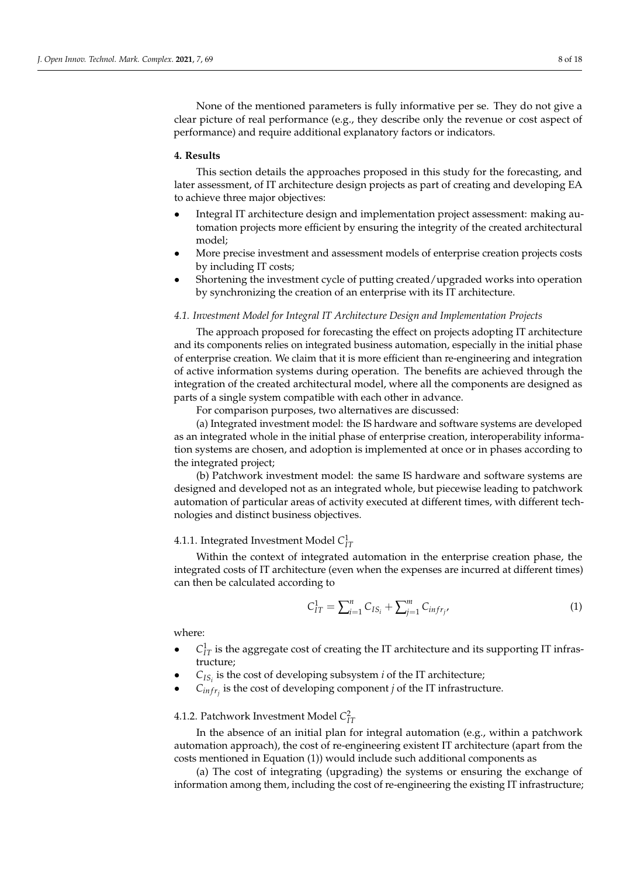None of the mentioned parameters is fully informative per se. They do not give a clear picture of real performance (e.g., they describe only the revenue or cost aspect of performance) and require additional explanatory factors or indicators.

### <span id="page-7-0"></span>**4. Results**

This section details the approaches proposed in this study for the forecasting, and later assessment, of IT architecture design projects as part of creating and developing EA to achieve three major objectives:

- Integral IT architecture design and implementation project assessment: making automation projects more efficient by ensuring the integrity of the created architectural model;
- More precise investment and assessment models of enterprise creation projects costs by including IT costs;
- Shortening the investment cycle of putting created/upgraded works into operation by synchronizing the creation of an enterprise with its IT architecture.

### *4.1. Investment Model for Integral IT Architecture Design and Implementation Projects*

The approach proposed for forecasting the effect on projects adopting IT architecture and its components relies on integrated business automation, especially in the initial phase of enterprise creation. We claim that it is more efficient than re-engineering and integration of active information systems during operation. The benefits are achieved through the integration of the created architectural model, where all the components are designed as parts of a single system compatible with each other in advance.

For comparison purposes, two alternatives are discussed:

(a) Integrated investment model: the IS hardware and software systems are developed as an integrated whole in the initial phase of enterprise creation, interoperability information systems are chosen, and adoption is implemented at once or in phases according to the integrated project;

(b) Patchwork investment model: the same IS hardware and software systems are designed and developed not as an integrated whole, but piecewise leading to patchwork automation of particular areas of activity executed at different times, with different technologies and distinct business objectives.

## 4.1.1. Integrated Investment Model  $C_{IT}^1$

Within the context of integrated automation in the enterprise creation phase, the integrated costs of IT architecture (even when the expenses are incurred at different times) can then be calculated according to

$$
C_{IT}^1 = \sum_{i=1}^n C_{IS_i} + \sum_{j=1}^m C_{infr_j},
$$
 (1)

where:

- $\bullet$   $C_{IT}^1$  is the aggregate cost of creating the IT architecture and its supporting IT infrastructure;
- $\bullet$   $C_{IS_i}$  is the cost of developing subsystem *i* of the IT architecture;
- $C_{\text{inf}r_j}$  is the cost of developing component *j* of the IT infrastructure.

## 4.1.2. Patchwork Investment Model  $C_{IT}^2$

In the absence of an initial plan for integral automation (e.g., within a patchwork automation approach), the cost of re-engineering existent IT architecture (apart from the costs mentioned in Equation (1)) would include such additional components as

(a) The cost of integrating (upgrading) the systems or ensuring the exchange of information among them, including the cost of re-engineering the existing IT infrastructure;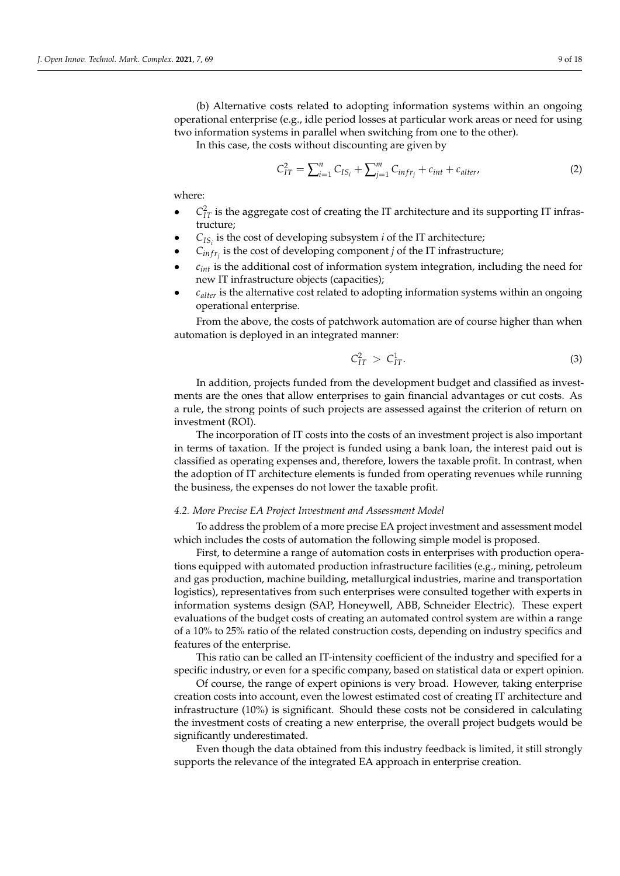(b) Alternative costs related to adopting information systems within an ongoing operational enterprise (e.g., idle period losses at particular work areas or need for using two information systems in parallel when switching from one to the other).

In this case, the costs without discounting are given by

$$
C_{IT}^2 = \sum_{i=1}^n C_{IS_i} + \sum_{j=1}^m C_{infr_j} + c_{int} + c_{alter}, \qquad (2)
$$

where:

- $\bullet$   $C_{IT}^2$  is the aggregate cost of creating the IT architecture and its supporting IT infrastructure;
- $C_{IS_i}$  is the cost of developing subsystem *i* of the IT architecture;
- $C_{\text{infr}_j}$  is the cost of developing component *j* of the IT infrastructure;
- *cint* is the additional cost of information system integration, including the need for new IT infrastructure objects (capacities);
- *calter* is the alternative cost related to adopting information systems within an ongoing operational enterprise.

From the above, the costs of patchwork automation are of course higher than when automation is deployed in an integrated manner:

$$
C_{IT}^2 > C_{IT}^1. \tag{3}
$$

In addition, projects funded from the development budget and classified as investments are the ones that allow enterprises to gain financial advantages or cut costs. As a rule, the strong points of such projects are assessed against the criterion of return on investment (ROI).

The incorporation of IT costs into the costs of an investment project is also important in terms of taxation. If the project is funded using a bank loan, the interest paid out is classified as operating expenses and, therefore, lowers the taxable profit. In contrast, when the adoption of IT architecture elements is funded from operating revenues while running the business, the expenses do not lower the taxable profit.

### *4.2. More Precise EA Project Investment and Assessment Model*

To address the problem of a more precise EA project investment and assessment model which includes the costs of automation the following simple model is proposed.

First, to determine a range of automation costs in enterprises with production operations equipped with automated production infrastructure facilities (e.g., mining, petroleum and gas production, machine building, metallurgical industries, marine and transportation logistics), representatives from such enterprises were consulted together with experts in information systems design (SAP, Honeywell, ABB, Schneider Electric). These expert evaluations of the budget costs of creating an automated control system are within a range of a 10% to 25% ratio of the related construction costs, depending on industry specifics and features of the enterprise.

This ratio can be called an IT-intensity coefficient of the industry and specified for a specific industry, or even for a specific company, based on statistical data or expert opinion.

Of course, the range of expert opinions is very broad. However, taking enterprise creation costs into account, even the lowest estimated cost of creating IT architecture and infrastructure (10%) is significant. Should these costs not be considered in calculating the investment costs of creating a new enterprise, the overall project budgets would be significantly underestimated.

Even though the data obtained from this industry feedback is limited, it still strongly supports the relevance of the integrated EA approach in enterprise creation.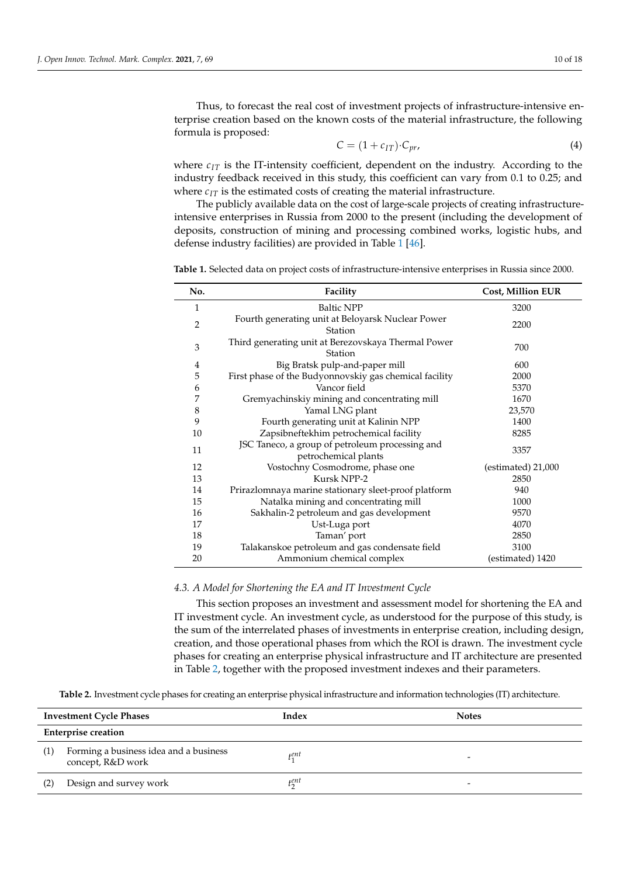Thus, to forecast the real cost of investment projects of infrastructure-intensive enterprise creation based on the known costs of the material infrastructure, the following formula is proposed:

$$
C = (1 + c_{IT}) \cdot C_{pr}, \tag{4}
$$

where  $c_{IT}$  is the IT-intensity coefficient, dependent on the industry. According to the industry feedback received in this study, this coefficient can vary from 0.1 to 0.25; and where  $c_{IT}$  is the estimated costs of creating the material infrastructure.

The publicly available data on the cost of large-scale projects of creating infrastructureintensive enterprises in Russia from 2000 to the present (including the development of deposits, construction of mining and processing combined works, logistic hubs, and defense industry facilities) are provided in Table [1](#page-9-0) [\[46\]](#page-17-0).

<span id="page-9-0"></span>

| No.            | Facility                                                                | <b>Cost, Million EUR</b> |
|----------------|-------------------------------------------------------------------------|--------------------------|
| 1              | <b>Baltic NPP</b>                                                       | 3200                     |
| $\overline{2}$ | Fourth generating unit at Beloyarsk Nuclear Power<br>Station            | 2200                     |
| 3              | Third generating unit at Berezovskaya Thermal Power<br>Station          | 700                      |
| $\overline{4}$ | Big Bratsk pulp-and-paper mill                                          | 600                      |
| 5              | First phase of the Budyonnovskiy gas chemical facility                  | 2000                     |
| 6              | Vancor field                                                            | 5370                     |
| 7              | Gremyachinskiy mining and concentrating mill                            | 1670                     |
| $\,8\,$        | Yamal LNG plant                                                         | 23,570                   |
| 9              | Fourth generating unit at Kalinin NPP                                   | 1400                     |
| 10             | Zapsibneftekhim petrochemical facility                                  | 8285                     |
| 11             | JSC Taneco, a group of petroleum processing and<br>petrochemical plants | 3357                     |
| 12             | Vostochny Cosmodrome, phase one<br>$(estimated)$ 21,000                 |                          |
| 13             | Kursk NPP-2                                                             | 2850                     |
| 14             | Prirazlomnaya marine stationary sleet-proof platform                    | 940                      |
| 15             | Natalka mining and concentrating mill                                   | 1000                     |
| 16             | Sakhalin-2 petroleum and gas development<br>9570                        |                          |
| 17             | Ust-Luga port<br>4070                                                   |                          |
| 18             | Taman' port<br>2850                                                     |                          |
| 19             | Talakanskoe petroleum and gas condensate field<br>3100                  |                          |
| 20             | Ammonium chemical complex                                               | (estimated) 1420         |

### *4.3. A Model for Shortening the EA and IT Investment Cycle*

This section proposes an investment and assessment model for shortening the EA and IT investment cycle. An investment cycle, as understood for the purpose of this study, is the sum of the interrelated phases of investments in enterprise creation, including design, creation, and those operational phases from which the ROI is drawn. The investment cycle phases for creating an enterprise physical infrastructure and IT architecture are presented in Table [2,](#page-10-0) together with the proposed investment indexes and their parameters.

**Table 2.** Investment cycle phases for creating an enterprise physical infrastructure and information technologies (IT) architecture.

| <b>Investment Cycle Phases</b> |                                                             | Index | <b>Notes</b> |  |
|--------------------------------|-------------------------------------------------------------|-------|--------------|--|
| <b>Enterprise creation</b>     |                                                             |       |              |  |
| (1)                            | Forming a business idea and a business<br>concept, R&D work | țent  |              |  |
| (2)                            | Design and survey work                                      | țent  | -            |  |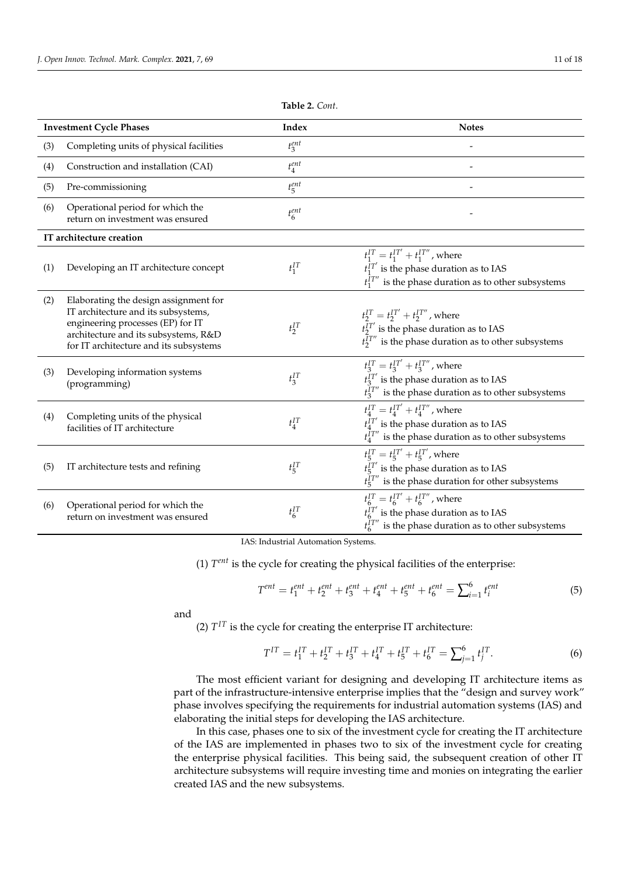<span id="page-10-0"></span>

|                          | <b>Investment Cycle Phases</b>                                                                                                                                                                      | Index         | <b>Notes</b>                                                                                                                                                    |  |
|--------------------------|-----------------------------------------------------------------------------------------------------------------------------------------------------------------------------------------------------|---------------|-----------------------------------------------------------------------------------------------------------------------------------------------------------------|--|
| (3)                      | Completing units of physical facilities                                                                                                                                                             | $t_3^{ent}$   |                                                                                                                                                                 |  |
| (4)                      | Construction and installation (CAI)                                                                                                                                                                 | $t_4^{ent}$   |                                                                                                                                                                 |  |
| (5)                      | Pre-commissioning                                                                                                                                                                                   | $t_{5}^{ent}$ |                                                                                                                                                                 |  |
| (6)                      | Operational period for which the<br>return on investment was ensured                                                                                                                                | $t_6^{ent}$   |                                                                                                                                                                 |  |
| IT architecture creation |                                                                                                                                                                                                     |               |                                                                                                                                                                 |  |
| (1)                      | Developing an IT architecture concept                                                                                                                                                               | $t_1^{IT}$    | $t_1^{IT} = t_1^{IT'} + t_1^{IT''}$ , where<br>$t_1^{IT'}$ is the phase duration as to IAS<br>$t_1^{IT''}$ is the phase duration as to other subsystems         |  |
| (2)                      | Elaborating the design assignment for<br>IT architecture and its subsystems,<br>engineering processes (EP) for IT<br>architecture and its subsystems, R&D<br>for IT architecture and its subsystems | $t_2^{IT}$    | $t_2^{IT} = t_2^{IT'} + t_2^{IT''}$ , where<br>$t_2^{IT'}$ is the phase duration as to IAS<br>$t_2^{IT''}$ is the phase duration as to other subsystems         |  |
| (3)                      | Developing information systems<br>(programming)                                                                                                                                                     | $t_3^{IT}$    | $t_3^{IT} = t_3^{IT'} + t_3^{IT''}$ , where<br>$t_3^{IT'}$ is the phase duration as to IAS<br>$t_3^{IT''}$ is the phase duration as to other subsystems         |  |
| (4)                      | Completing units of the physical<br>facilities of IT architecture                                                                                                                                   | $t_4^{IT}$    | $t_4^{IT} = t_4^{IT'} + t_4^{IT''}$ , where<br>$t_4^{IT'}$ is the phase duration as to IAS<br>$t_4^{IT''}$ is the phase duration as to other subsystems         |  |
| (5)                      | IT architecture tests and refining                                                                                                                                                                  | $t_{5}^{IT}$  | $t_5^{IT} = t_5^{IT'} + t_5^{IT'}$ , where<br>$t_5^{IT'}$ is the phase duration as to IAS<br>$t_5^{\overline{I}T''}$ is the phase duration for other subsystems |  |
| (6)                      | Operational period for which the<br>return on investment was ensured                                                                                                                                | $t_6^{IT}$    | $t_6^{IT} = t_6^{IT'} + t_6^{IT''}$ , where<br>$t_6^{IT'}$ is the phase duration as to IAS<br>$t_6^{IT''}$ is the phase duration as to other subsystems         |  |

**Table 2.** *Cont*.

IAS: Industrial Automation Systems.

(1) *T ent* is the cycle for creating the physical facilities of the enterprise:

$$
T^{ent} = t_1^{ent} + t_2^{ent} + t_3^{ent} + t_4^{ent} + t_5^{ent} + t_6^{ent} = \sum_{i=1}^6 t_i^{ent}
$$
(5)

and

(2)  $T^{IT}$  is the cycle for creating the enterprise IT architecture:

$$
T^{IT} = t_1^{IT} + t_2^{IT} + t_3^{IT} + t_4^{IT} + t_5^{IT} + t_6^{IT} = \sum_{j=1}^{6} t_j^{IT}.
$$
 (6)

The most efficient variant for designing and developing IT architecture items as part of the infrastructure-intensive enterprise implies that the "design and survey work" phase involves specifying the requirements for industrial automation systems (IAS) and elaborating the initial steps for developing the IAS architecture.

In this case, phases one to six of the investment cycle for creating the IT architecture of the IAS are implemented in phases two to six of the investment cycle for creating the enterprise physical facilities. This being said, the subsequent creation of other IT architecture subsystems will require investing time and monies on integrating the earlier created IAS and the new subsystems.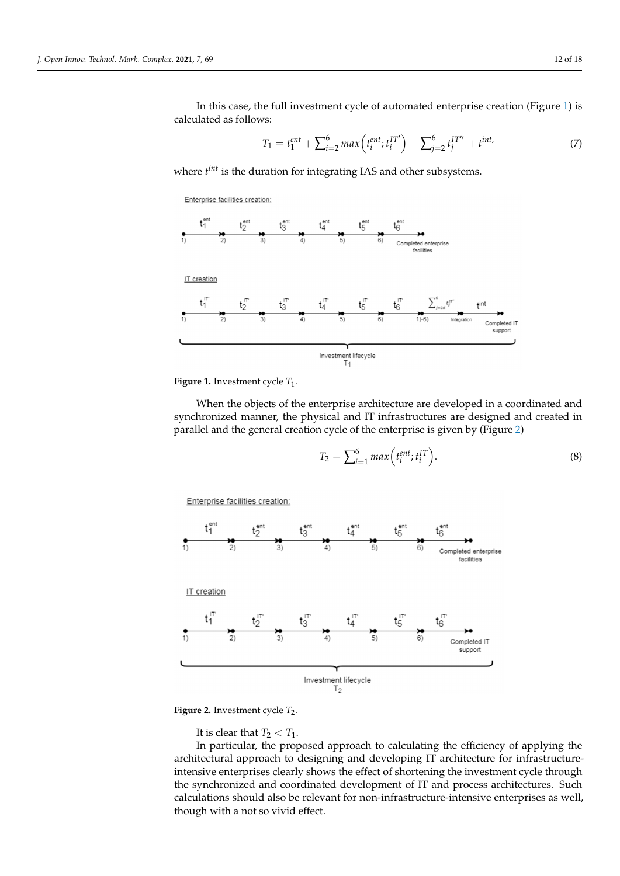In this case, the full investment cycle of automated enterprise creation (Figure [1\)](#page-11-0) is calculated as follows:

$$
T_1 = t_1^{ent} + \sum_{i=2}^{6} max\left(t_i^{ent}; t_i^{IT'}\right) + \sum_{j=2}^{6} t_j^{IT''} + t^{int} \tag{7}
$$

where  $t^{int}$  is the duration for integrating IAS and other subsystems.

<span id="page-11-0"></span>**Enterprise facilities creation:** 



**Figure 1.** Investment cycle  $T_1$ .

When the objects of the enterprise architecture are developed in a coordinated and<br>have included account the above ideal IT is fact we have and declared and another in synchronized manner, the physical and IT infrastructures are designed and created in parallel and the general creation cycle of the enterprise is given by (Figure [2\)](#page-11-1) synchronized manner, the physical and IT infrastructures are designed and created in synchronized manner, the physical and IT infrastructures are designed and created in

$$
T_2 = \sum_{i=1}^6 \max\left(t_i^{ent}; t_i^{IT}\right). \tag{8}
$$

<span id="page-11-1"></span>Enterprise facilities creation:



**Figure 2.** Investment cycle  $T_2$ .

It is clear that  $T_2 < T_1$ .

In particular, the proposed approach to calculating the efficiency of applying the architectural approach to designing and developing IT architecture for infrastructureintensive enterprises clearly shows the effect of shortening the investment cycle through the synchronized and coordinated development of IT and process architectures. Such calculations should also be relevant for non-infrastructure-intensive enterprises as well, though with a not so vivid effect.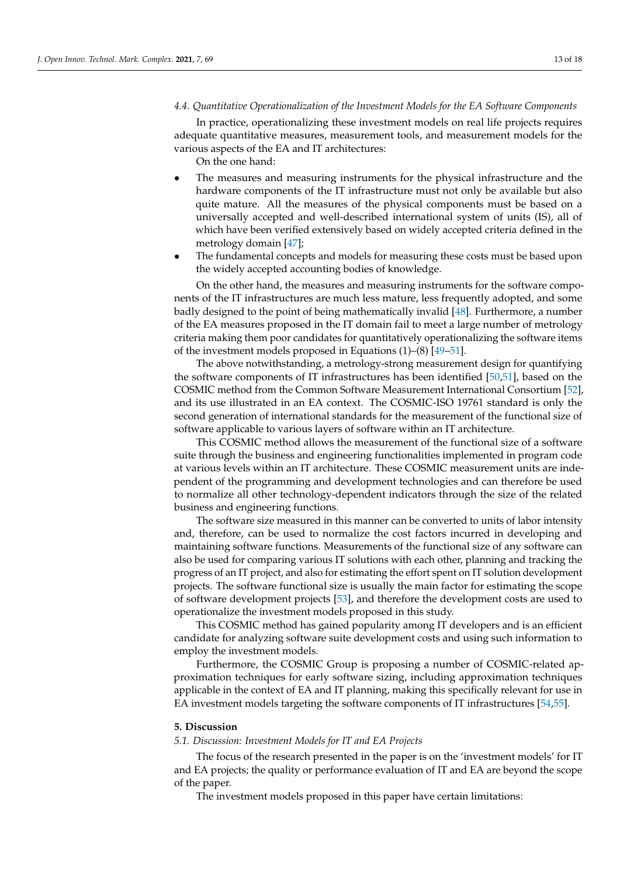### *4.4. Quantitative Operationalization of the Investment Models for the EA Software Components*

In practice, operationalizing these investment models on real life projects requires adequate quantitative measures, measurement tools, and measurement models for the various aspects of the EA and IT architectures:

On the one hand:

- The measures and measuring instruments for the physical infrastructure and the hardware components of the IT infrastructure must not only be available but also quite mature. All the measures of the physical components must be based on a universally accepted and well-described international system of units (IS), all of which have been verified extensively based on widely accepted criteria defined in the metrology domain [\[47\]](#page-17-1);
- The fundamental concepts and models for measuring these costs must be based upon the widely accepted accounting bodies of knowledge.

On the other hand, the measures and measuring instruments for the software components of the IT infrastructures are much less mature, less frequently adopted, and some badly designed to the point of being mathematically invalid [\[48\]](#page-17-2). Furthermore, a number of the EA measures proposed in the IT domain fail to meet a large number of metrology criteria making them poor candidates for quantitatively operationalizing the software items of the investment models proposed in Equations (1)–(8) [\[49](#page-17-3)[–51\]](#page-17-4).

The above notwithstanding, a metrology-strong measurement design for quantifying the software components of IT infrastructures has been identified [\[50,](#page-17-5)[51\]](#page-17-4), based on the COSMIC method from the Common Software Measurement International Consortium [\[52\]](#page-17-6), and its use illustrated in an EA context. The COSMIC-ISO 19761 standard is only the second generation of international standards for the measurement of the functional size of software applicable to various layers of software within an IT architecture.

This COSMIC method allows the measurement of the functional size of a software suite through the business and engineering functionalities implemented in program code at various levels within an IT architecture. These COSMIC measurement units are independent of the programming and development technologies and can therefore be used to normalize all other technology-dependent indicators through the size of the related business and engineering functions.

The software size measured in this manner can be converted to units of labor intensity and, therefore, can be used to normalize the cost factors incurred in developing and maintaining software functions. Measurements of the functional size of any software can also be used for comparing various IT solutions with each other, planning and tracking the progress of an IT project, and also for estimating the effort spent on IT solution development projects. The software functional size is usually the main factor for estimating the scope of software development projects [\[53\]](#page-17-7), and therefore the development costs are used to operationalize the investment models proposed in this study.

This COSMIC method has gained popularity among IT developers and is an efficient candidate for analyzing software suite development costs and using such information to employ the investment models.

Furthermore, the COSMIC Group is proposing a number of COSMIC-related approximation techniques for early software sizing, including approximation techniques applicable in the context of EA and IT planning, making this specifically relevant for use in EA investment models targeting the software components of IT infrastructures [\[54,](#page-17-8)[55\]](#page-17-9).

#### <span id="page-12-0"></span>**5. Discussion**

### *5.1. Discussion: Investment Models for IT and EA Projects*

The focus of the research presented in the paper is on the 'investment models' for IT and EA projects; the quality or performance evaluation of IT and EA are beyond the scope of the paper.

The investment models proposed in this paper have certain limitations: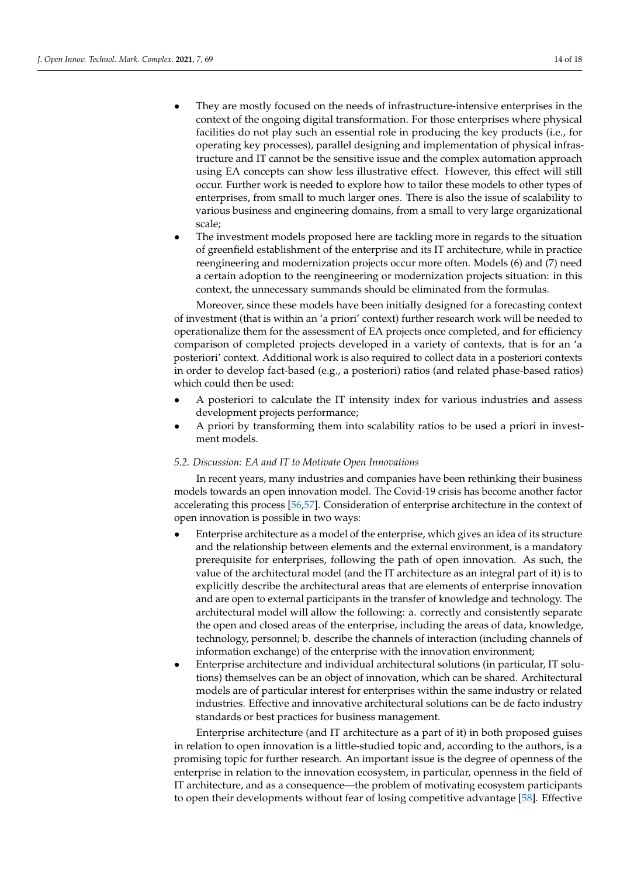- They are mostly focused on the needs of infrastructure-intensive enterprises in the context of the ongoing digital transformation. For those enterprises where physical facilities do not play such an essential role in producing the key products (i.e., for operating key processes), parallel designing and implementation of physical infrastructure and IT cannot be the sensitive issue and the complex automation approach using EA concepts can show less illustrative effect. However, this effect will still occur. Further work is needed to explore how to tailor these models to other types of enterprises, from small to much larger ones. There is also the issue of scalability to various business and engineering domains, from a small to very large organizational scale;
- The investment models proposed here are tackling more in regards to the situation of greenfield establishment of the enterprise and its IT architecture, while in practice reengineering and modernization projects occur more often. Models (6) and (7) need a certain adoption to the reengineering or modernization projects situation: in this context, the unnecessary summands should be eliminated from the formulas.

Moreover, since these models have been initially designed for a forecasting context of investment (that is within an 'a priori' context) further research work will be needed to operationalize them for the assessment of EA projects once completed, and for efficiency comparison of completed projects developed in a variety of contexts, that is for an 'a posteriori' context. Additional work is also required to collect data in a posteriori contexts in order to develop fact-based (e.g., a posteriori) ratios (and related phase-based ratios) which could then be used:

- A posteriori to calculate the IT intensity index for various industries and assess development projects performance;
- A priori by transforming them into scalability ratios to be used a priori in investment models.

### *5.2. Discussion: EA and IT to Motivate Open Innovations*

In recent years, many industries and companies have been rethinking their business models towards an open innovation model. The Covid-19 crisis has become another factor accelerating this process [\[56,](#page-17-10)[57\]](#page-17-11). Consideration of enterprise architecture in the context of open innovation is possible in two ways:

- Enterprise architecture as a model of the enterprise, which gives an idea of its structure and the relationship between elements and the external environment, is a mandatory prerequisite for enterprises, following the path of open innovation. As such, the value of the architectural model (and the IT architecture as an integral part of it) is to explicitly describe the architectural areas that are elements of enterprise innovation and are open to external participants in the transfer of knowledge and technology. The architectural model will allow the following: a. correctly and consistently separate the open and closed areas of the enterprise, including the areas of data, knowledge, technology, personnel; b. describe the channels of interaction (including channels of information exchange) of the enterprise with the innovation environment;
- Enterprise architecture and individual architectural solutions (in particular, IT solutions) themselves can be an object of innovation, which can be shared. Architectural models are of particular interest for enterprises within the same industry or related industries. Effective and innovative architectural solutions can be de facto industry standards or best practices for business management.

Enterprise architecture (and IT architecture as a part of it) in both proposed guises in relation to open innovation is a little-studied topic and, according to the authors, is a promising topic for further research. An important issue is the degree of openness of the enterprise in relation to the innovation ecosystem, in particular, openness in the field of IT architecture, and as a consequence—the problem of motivating ecosystem participants to open their developments without fear of losing competitive advantage [\[58\]](#page-17-12). Effective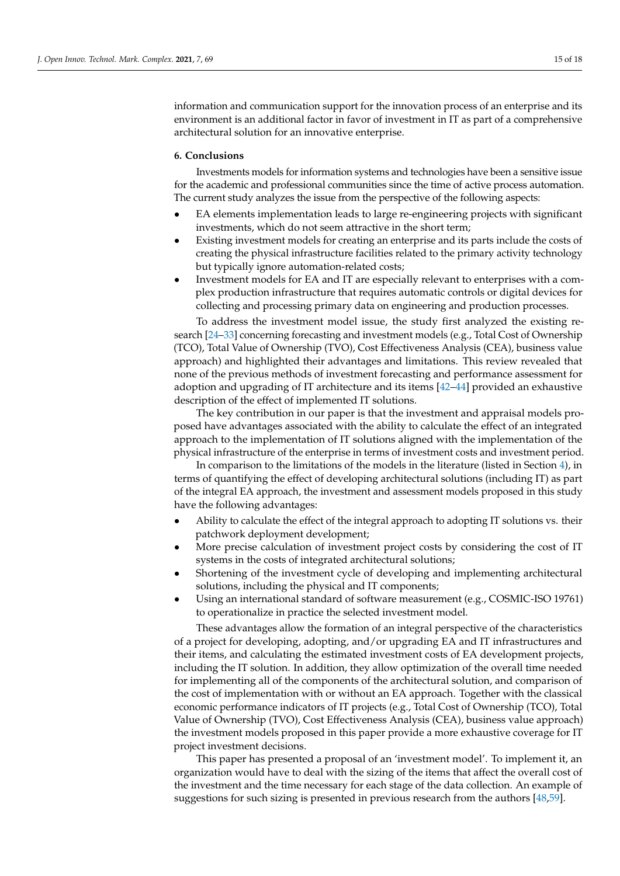information and communication support for the innovation process of an enterprise and its environment is an additional factor in favor of investment in IT as part of a comprehensive architectural solution for an innovative enterprise.

### **6. Conclusions**

Investments models for information systems and technologies have been a sensitive issue for the academic and professional communities since the time of active process automation. The current study analyzes the issue from the perspective of the following aspects:

- EA elements implementation leads to large re-engineering projects with significant investments, which do not seem attractive in the short term;
- Existing investment models for creating an enterprise and its parts include the costs of creating the physical infrastructure facilities related to the primary activity technology but typically ignore automation-related costs;
- Investment models for EA and IT are especially relevant to enterprises with a complex production infrastructure that requires automatic controls or digital devices for collecting and processing primary data on engineering and production processes.

To address the investment model issue, the study first analyzed the existing research [\[24–](#page-16-7)[33\]](#page-16-8) concerning forecasting and investment models (e.g., Total Cost of Ownership (TCO), Total Value of Ownership (TVO), Cost Effectiveness Analysis (CEA), business value approach) and highlighted their advantages and limitations. This review revealed that none of the previous methods of investment forecasting and performance assessment for adoption and upgrading of IT architecture and its items [\[42](#page-16-17)[–44\]](#page-16-18) provided an exhaustive description of the effect of implemented IT solutions.

The key contribution in our paper is that the investment and appraisal models proposed have advantages associated with the ability to calculate the effect of an integrated approach to the implementation of IT solutions aligned with the implementation of the physical infrastructure of the enterprise in terms of investment costs and investment period.

In comparison to the limitations of the models in the literature (listed in Section [4\)](#page-7-0), in terms of quantifying the effect of developing architectural solutions (including IT) as part of the integral EA approach, the investment and assessment models proposed in this study have the following advantages:

- Ability to calculate the effect of the integral approach to adopting IT solutions vs. their patchwork deployment development;
- More precise calculation of investment project costs by considering the cost of IT systems in the costs of integrated architectural solutions;
- Shortening of the investment cycle of developing and implementing architectural solutions, including the physical and IT components;
- Using an international standard of software measurement (e.g., COSMIC-ISO 19761) to operationalize in practice the selected investment model.

These advantages allow the formation of an integral perspective of the characteristics of a project for developing, adopting, and/or upgrading EA and IT infrastructures and their items, and calculating the estimated investment costs of EA development projects, including the IT solution. In addition, they allow optimization of the overall time needed for implementing all of the components of the architectural solution, and comparison of the cost of implementation with or without an EA approach. Together with the classical economic performance indicators of IT projects (e.g., Total Cost of Ownership (TCO), Total Value of Ownership (TVO), Cost Effectiveness Analysis (CEA), business value approach) the investment models proposed in this paper provide a more exhaustive coverage for IT project investment decisions.

This paper has presented a proposal of an 'investment model'. To implement it, an organization would have to deal with the sizing of the items that affect the overall cost of the investment and the time necessary for each stage of the data collection. An example of suggestions for such sizing is presented in previous research from the authors [\[48,](#page-17-2)[59\]](#page-17-13).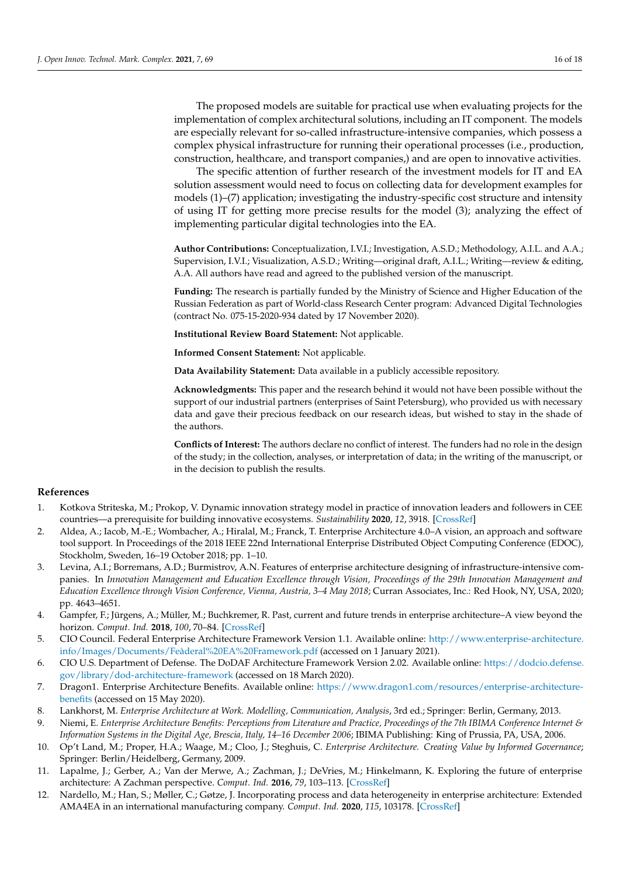The proposed models are suitable for practical use when evaluating projects for the implementation of complex architectural solutions, including an IT component. The models are especially relevant for so-called infrastructure-intensive companies, which possess a complex physical infrastructure for running their operational processes (i.e., production, construction, healthcare, and transport companies,) and are open to innovative activities.

The specific attention of further research of the investment models for IT and EA solution assessment would need to focus on collecting data for development examples for models (1)–(7) application; investigating the industry-specific cost structure and intensity of using IT for getting more precise results for the model (3); analyzing the effect of implementing particular digital technologies into the EA.

**Author Contributions:** Conceptualization, I.V.I.; Investigation, A.S.D.; Methodology, A.I.L. and A.A.; Supervision, I.V.I.; Visualization, A.S.D.; Writing—original draft, A.I.L.; Writing—review & editing, A.A. All authors have read and agreed to the published version of the manuscript.

**Funding:** The research is partially funded by the Ministry of Science and Higher Education of the Russian Federation as part of World-class Research Center program: Advanced Digital Technologies (contract No. 075-15-2020-934 dated by 17 November 2020).

**Institutional Review Board Statement:** Not applicable.

**Informed Consent Statement:** Not applicable.

**Data Availability Statement:** Data available in a publicly accessible repository.

**Acknowledgments:** This paper and the research behind it would not have been possible without the support of our industrial partners (enterprises of Saint Petersburg), who provided us with necessary data and gave their precious feedback on our research ideas, but wished to stay in the shade of the authors.

**Conflicts of Interest:** The authors declare no conflict of interest. The funders had no role in the design of the study; in the collection, analyses, or interpretation of data; in the writing of the manuscript, or in the decision to publish the results.

### **References**

- <span id="page-15-0"></span>1. Kotkova Striteska, M.; Prokop, V. Dynamic innovation strategy model in practice of innovation leaders and followers in CEE countries—a prerequisite for building innovative ecosystems. *Sustainability* **2020**, *12*, 3918. [\[CrossRef\]](http://doi.org/10.3390/su12093918)
- <span id="page-15-1"></span>2. Aldea, A.; Iacob, M.-E.; Wombacher, A.; Hiralal, M.; Franck, T. Enterprise Architecture 4.0–A vision, an approach and software tool support. In Proceedings of the 2018 IEEE 22nd International Enterprise Distributed Object Computing Conference (EDOC), Stockholm, Sweden, 16–19 October 2018; pp. 1–10.
- <span id="page-15-2"></span>3. Levina, A.I.; Borremans, A.D.; Burmistrov, A.N. Features of enterprise architecture designing of infrastructure-intensive companies. In *Innovation Management and Education Excellence through Vision, Proceedings of the 29th Innovation Management and Education Excellence through Vision Conference, Vienna, Austria, 3–4 May 2018*; Curran Associates, Inc.: Red Hook, NY, USA, 2020; pp. 4643–4651.
- <span id="page-15-3"></span>4. Gampfer, F.; Jürgens, A.; Müller, M.; Buchkremer, R. Past, current and future trends in enterprise architecture–A view beyond the horizon. *Comput. Ind.* **2018**, *100*, 70–84. [\[CrossRef\]](http://doi.org/10.1016/j.compind.2018.03.006)
- <span id="page-15-4"></span>5. CIO Council. Federal Enterprise Architecture Framework Version 1.1. Available online: [http://www.enterprise-architecture.](http://www.enterprise-architecture.info/Images/Documents/Fe�deral%20EA%20Framework.pdf) [info/Images/Documents/Feàderal%20EA%20Framework.pdf](http://www.enterprise-architecture.info/Images/Documents/Fe�deral%20EA%20Framework.pdf) (accessed on 1 January 2021).
- 6. CIO U.S. Department of Defense. The DoDAF Architecture Framework Version 2.02. Available online: [https://dodcio.defense.](https://dodcio.defense.gov/library/dod-architecture-framework) [gov/library/dod-architecture-framework](https://dodcio.defense.gov/library/dod-architecture-framework) (accessed on 18 March 2020).
- 7. Dragon1. Enterprise Architecture Benefits. Available online: [https://www.dragon1.com/resources/enterprise-architecture](https://www.dragon1.com/resources/enterprise-architecture-benefits)[benefits](https://www.dragon1.com/resources/enterprise-architecture-benefits) (accessed on 15 May 2020).
- 8. Lankhorst, M. *Enterprise Architecture at Work. Modelling, Communication, Analysis*, 3rd ed.; Springer: Berlin, Germany, 2013.
- <span id="page-15-5"></span>9. Niemi, E. *Enterprise Architecture Benefits: Perceptions from Literature and Practice, Proceedings of the 7th IBIMA Conference Internet & Information Systems in the Digital Age, Brescia, Italy, 14–16 December 2006*; IBIMA Publishing: King of Prussia, PA, USA, 2006.
- 10. Op't Land, M.; Proper, H.A.; Waage, M.; Cloo, J.; Steghuis, C. *Enterprise Architecture. Creating Value by Informed Governance*; Springer: Berlin/Heidelberg, Germany, 2009.
- 11. Lapalme, J.; Gerber, A.; Van der Merwe, A.; Zachman, J.; DeVries, M.; Hinkelmann, K. Exploring the future of enterprise architecture: A Zachman perspective. *Comput. Ind.* **2016**, *79*, 103–113. [\[CrossRef\]](http://doi.org/10.1016/j.compind.2015.06.010)
- 12. Nardello, M.; Han, S.; Møller, C.; Gøtze, J. Incorporating process and data heterogeneity in enterprise architecture: Extended AMA4EA in an international manufacturing company. *Comput. Ind.* **2020**, *115*, 103178. [\[CrossRef\]](http://doi.org/10.1016/j.compind.2019.103178)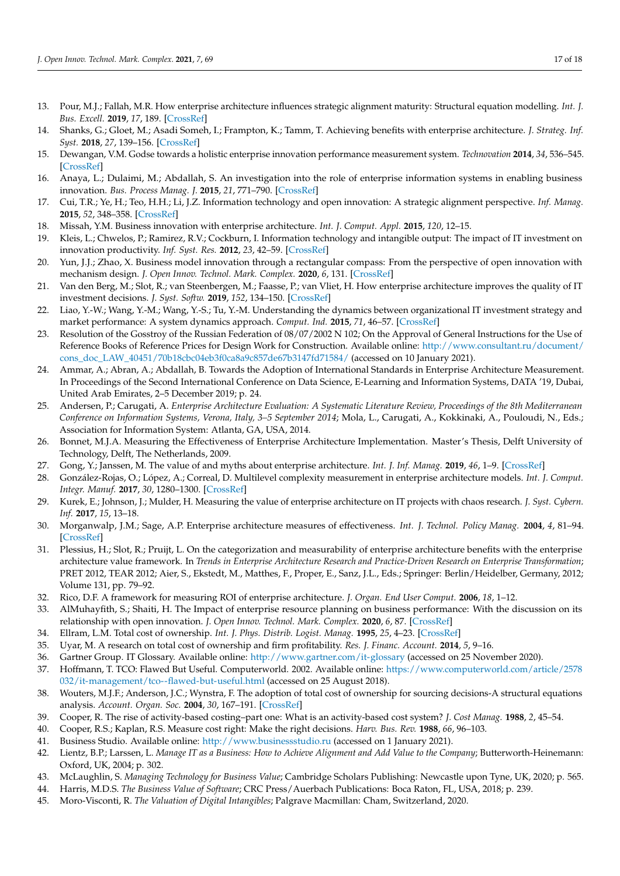- 13. Pour, M.J.; Fallah, M.R. How enterprise architecture influences strategic alignment maturity: Structural equation modelling. *Int. J. Bus. Excell.* **2019**, *17*, 189. [\[CrossRef\]](http://doi.org/10.1504/IJBEX.2019.097543)
- <span id="page-16-0"></span>14. Shanks, G.; Gloet, M.; Asadi Someh, I.; Frampton, K.; Tamm, T. Achieving benefits with enterprise architecture. *J. Strateg. Inf. Syst.* **2018**, *27*, 139–156. [\[CrossRef\]](http://doi.org/10.1016/j.jsis.2018.03.001)
- <span id="page-16-1"></span>15. Dewangan, V.M. Godse towards a holistic enterprise innovation performance measurement system. *Technovation* **2014**, *34*, 536–545. [\[CrossRef\]](http://doi.org/10.1016/j.technovation.2014.04.002)
- <span id="page-16-2"></span>16. Anaya, L.; Dulaimi, M.; Abdallah, S. An investigation into the role of enterprise information systems in enabling business innovation. *Bus. Process Manag. J.* **2015**, *21*, 771–790. [\[CrossRef\]](http://doi.org/10.1108/BPMJ-11-2014-0108)
- 17. Cui, T.R.; Ye, H.; Teo, H.H.; Li, J.Z. Information technology and open innovation: A strategic alignment perspective. *Inf. Manag.* **2015**, *52*, 348–358. [\[CrossRef\]](http://doi.org/10.1016/j.im.2014.12.005)
- 18. Missah, Y.M. Business innovation with enterprise architecture. *Int. J. Comput. Appl.* **2015**, *120*, 12–15.
- 19. Kleis, L.; Chwelos, P.; Ramirez, R.V.; Cockburn, I. Information technology and intangible output: The impact of IT investment on innovation productivity. *Inf. Syst. Res.* **2012**, *23*, 42–59. [\[CrossRef\]](http://doi.org/10.1287/isre.1100.0338)
- <span id="page-16-3"></span>20. Yun, J.J.; Zhao, X. Business model innovation through a rectangular compass: From the perspective of open innovation with mechanism design. *J. Open Innov. Technol. Mark. Complex.* **2020**, *6*, 131. [\[CrossRef\]](http://doi.org/10.3390/joitmc6040131)
- <span id="page-16-4"></span>21. Van den Berg, M.; Slot, R.; van Steenbergen, M.; Faasse, P.; van Vliet, H. How enterprise architecture improves the quality of IT investment decisions. *J. Syst. Softw.* **2019**, *152*, 134–150. [\[CrossRef\]](http://doi.org/10.1016/j.jss.2019.02.053)
- <span id="page-16-5"></span>22. Liao, Y.-W.; Wang, Y.-M.; Wang, Y.-S.; Tu, Y.-M. Understanding the dynamics between organizational IT investment strategy and market performance: A system dynamics approach. *Comput. Ind.* **2015**, *71*, 46–57. [\[CrossRef\]](http://doi.org/10.1016/j.compind.2015.02.006)
- <span id="page-16-6"></span>23. Resolution of the Gosstroy of the Russian Federation of 08/07/2002 N 102; On the Approval of General Instructions for the Use of Reference Books of Reference Prices for Design Work for Construction. Available online: [http://www.consultant.ru/document/](http://www.consultant.ru/document/cons_doc_LAW_40451/70b18cbc04eb3f0ca8a9c857de67b3147fd71584/) [cons\\_doc\\_LAW\\_40451/70b18cbc04eb3f0ca8a9c857de67b3147fd71584/](http://www.consultant.ru/document/cons_doc_LAW_40451/70b18cbc04eb3f0ca8a9c857de67b3147fd71584/) (accessed on 10 January 2021).
- <span id="page-16-7"></span>24. Ammar, A.; Abran, A.; Abdallah, B. Towards the Adoption of International Standards in Enterprise Architecture Measurement. In Proceedings of the Second International Conference on Data Science, E-Learning and Information Systems, DATA '19, Dubai, United Arab Emirates, 2–5 December 2019; p. 24.
- 25. Andersen, P.; Carugati, A. *Enterprise Architecture Evaluation: A Systematic Literature Review, Proceedings of the 8th Mediterranean Conference on Information Systems, Verona, Italy, 3–5 September 2014*; Mola, L., Carugati, A., Kokkinaki, A., Pouloudi, N., Eds.; Association for Information System: Atlanta, GA, USA, 2014.
- 26. Bonnet, M.J.A. Measuring the Effectiveness of Enterprise Architecture Implementation. Master's Thesis, Delft University of Technology, Delft, The Netherlands, 2009.
- 27. Gong, Y.; Janssen, M. The value of and myths about enterprise architecture. *Int. J. Inf. Manag.* **2019**, *46*, 1–9. [\[CrossRef\]](http://doi.org/10.1016/j.ijinfomgt.2018.11.006)
- 28. González-Rojas, O.; López, A.; Correal, D. Multilevel complexity measurement in enterprise architecture models. *Int. J. Comput. Integr. Manuf.* **2017**, *30*, 1280–1300. [\[CrossRef\]](http://doi.org/10.1080/0951192X.2017.1307453)
- <span id="page-16-9"></span>29. Kurek, E.; Johnson, J.; Mulder, H. Measuring the value of enterprise architecture on IT projects with chaos research. *J. Syst. Cybern. Inf.* **2017**, *15*, 13–18.
- 30. Morganwalp, J.M.; Sage, A.P. Enterprise architecture measures of effectiveness. *Int. J. Technol. Policy Manag.* **2004**, *4*, 81–94. [\[CrossRef\]](http://doi.org/10.1504/IJTPM.2004.004569)
- 31. Plessius, H.; Slot, R.; Pruijt, L. On the categorization and measurability of enterprise architecture benefits with the enterprise architecture value framework. In *Trends in Enterprise Architecture Research and Practice-Driven Research on Enterprise Transformation*; PRET 2012, TEAR 2012; Aier, S., Ekstedt, M., Matthes, F., Proper, E., Sanz, J.L., Eds.; Springer: Berlin/Heidelber, Germany, 2012; Volume 131, pp. 79–92.
- 32. Rico, D.F. A framework for measuring ROI of enterprise architecture. *J. Organ. End User Comput.* **2006**, *18*, 1–12.
- <span id="page-16-8"></span>33. AlMuhayfith, S.; Shaiti, H. The Impact of enterprise resource planning on business performance: With the discussion on its relationship with open innovation. *J. Open Innov. Technol. Mark. Complex.* **2020**, *6*, 87. [\[CrossRef\]](http://doi.org/10.3390/joitmc6030087)
- <span id="page-16-10"></span>34. Ellram, L.M. Total cost of ownership. *Int. J. Phys. Distrib. Logist. Manag.* **1995**, *25*, 4–23. [\[CrossRef\]](http://doi.org/10.1108/09600039510099928)
- <span id="page-16-11"></span>35. Uyar, M. A research on total cost of ownership and firm profitability. *Res. J. Financ. Account.* **2014**, *5*, 9–16.
- <span id="page-16-12"></span>36. Gartner Group. IT Glossary. Available online: <http://www.gartner.com/it-glossary> (accessed on 25 November 2020).
- <span id="page-16-13"></span>37. Hoffmann, T. TCO: Flawed But Useful. Computerworld. 2002. Available online: [https://www.computerworld.com/article/2578](https://www.computerworld.com/article/2578032/it-management/tco--flawed-but-useful.html) [032/it-management/tco--flawed-but-useful.html](https://www.computerworld.com/article/2578032/it-management/tco--flawed-but-useful.html) (accessed on 25 August 2018).
- <span id="page-16-14"></span>38. Wouters, M.J.F.; Anderson, J.C.; Wynstra, F. The adoption of total cost of ownership for sourcing decisions-A structural equations analysis. *Account. Organ. Soc.* **2004**, *30*, 167–191. [\[CrossRef\]](http://doi.org/10.1016/j.aos.2004.03.002)
- <span id="page-16-15"></span>39. Cooper, R. The rise of activity-based costing–part one: What is an activity-based cost system? *J. Cost Manag.* **1988**, *2*, 45–54.
- 40. Cooper, R.S.; Kaplan, R.S. Measure cost right: Make the right decisions. *Harv. Bus. Rev.* **1988**, *66*, 96–103.
- <span id="page-16-16"></span>41. Business Studio. Available online: <http://www.businessstudio.ru> (accessed on 1 January 2021).
- <span id="page-16-17"></span>42. Lientz, B.P.; Larssen, L. *Manage IT as a Business: How to Achieve Alignment and Add Value to the Company*; Butterworth-Heinemann: Oxford, UK, 2004; p. 302.
- 43. McLaughlin, S. *Managing Technology for Business Value*; Cambridge Scholars Publishing: Newcastle upon Tyne, UK, 2020; p. 565.
- <span id="page-16-18"></span>44. Harris, M.D.S. *The Business Value of Software*; CRC Press/Auerbach Publications: Boca Raton, FL, USA, 2018; p. 239.
- <span id="page-16-19"></span>45. Moro-Visconti, R. *The Valuation of Digital Intangibles*; Palgrave Macmillan: Cham, Switzerland, 2020.